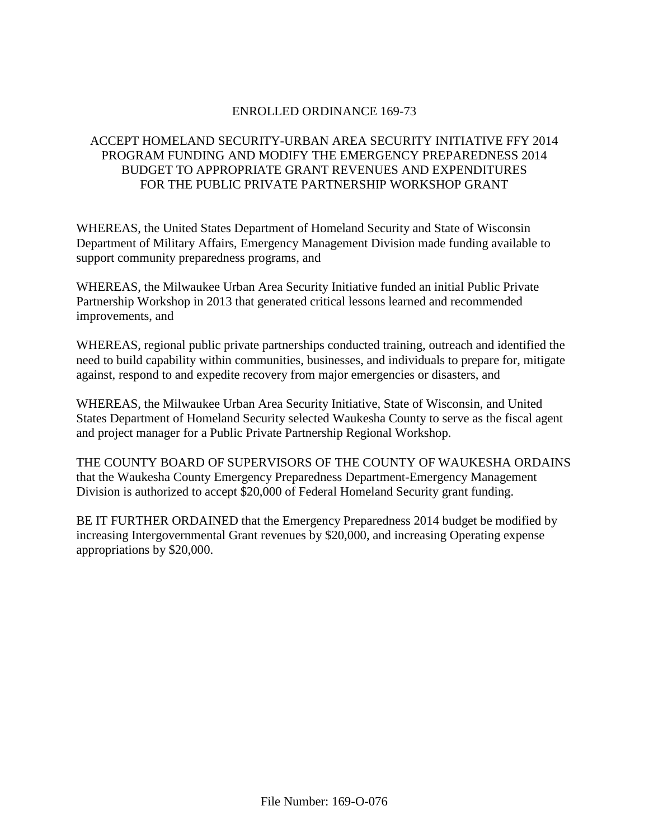## ENROLLED ORDINANCE 169-73

# ACCEPT HOMELAND SECURITY-URBAN AREA SECURITY INITIATIVE FFY 2014 PROGRAM FUNDING AND MODIFY THE EMERGENCY PREPAREDNESS 2014 BUDGET TO APPROPRIATE GRANT REVENUES AND EXPENDITURES FOR THE PUBLIC PRIVATE PARTNERSHIP WORKSHOP GRANT

WHEREAS, the United States Department of Homeland Security and State of Wisconsin Department of Military Affairs, Emergency Management Division made funding available to support community preparedness programs, and

WHEREAS, the Milwaukee Urban Area Security Initiative funded an initial Public Private Partnership Workshop in 2013 that generated critical lessons learned and recommended improvements, and

WHEREAS, regional public private partnerships conducted training, outreach and identified the need to build capability within communities, businesses, and individuals to prepare for, mitigate against, respond to and expedite recovery from major emergencies or disasters, and

WHEREAS, the Milwaukee Urban Area Security Initiative, State of Wisconsin, and United States Department of Homeland Security selected Waukesha County to serve as the fiscal agent and project manager for a Public Private Partnership Regional Workshop.

THE COUNTY BOARD OF SUPERVISORS OF THE COUNTY OF WAUKESHA ORDAINS that the Waukesha County Emergency Preparedness Department-Emergency Management Division is authorized to accept \$20,000 of Federal Homeland Security grant funding.

BE IT FURTHER ORDAINED that the Emergency Preparedness 2014 budget be modified by increasing Intergovernmental Grant revenues by \$20,000, and increasing Operating expense appropriations by \$20,000.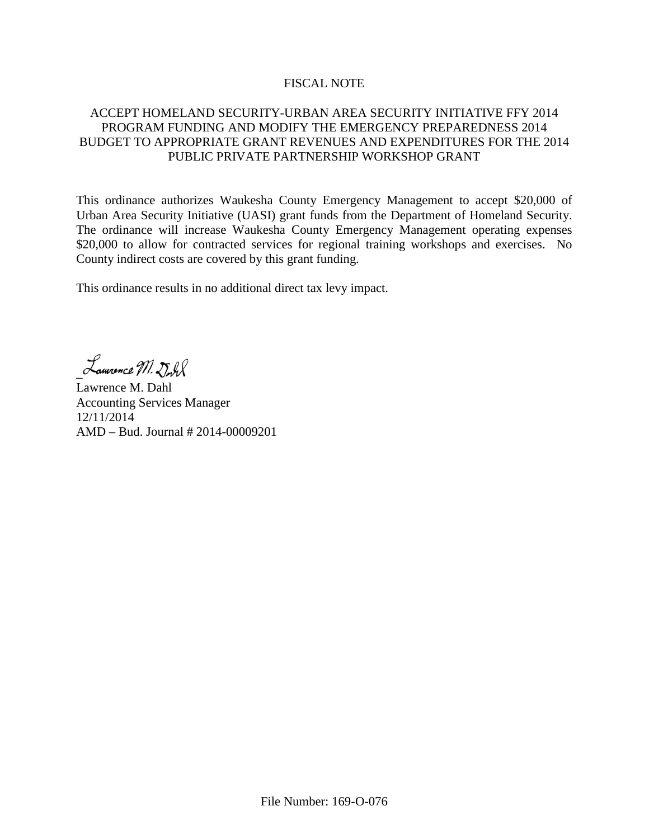#### FISCAL NOTE

## ACCEPT HOMELAND SECURITY-URBAN AREA SECURITY INITIATIVE FFY 2014 PROGRAM FUNDING AND MODIFY THE EMERGENCY PREPAREDNESS 2014 BUDGET TO APPROPRIATE GRANT REVENUES AND EXPENDITURES FOR THE 2014 PUBLIC PRIVATE PARTNERSHIP WORKSHOP GRANT

This ordinance authorizes Waukesha County Emergency Management to accept \$20,000 of Urban Area Security Initiative (UASI) grant funds from the Department of Homeland Security. The ordinance will increase Waukesha County Emergency Management operating expenses \$20,000 to allow for contracted services for regional training workshops and exercises. No County indirect costs are covered by this grant funding.

This ordinance results in no additional direct tax levy impact.

Lauvence M. Dull

Lawrence M. Dahl Accounting Services Manager 12/11/2014 AMD – Bud. Journal # 2014-00009201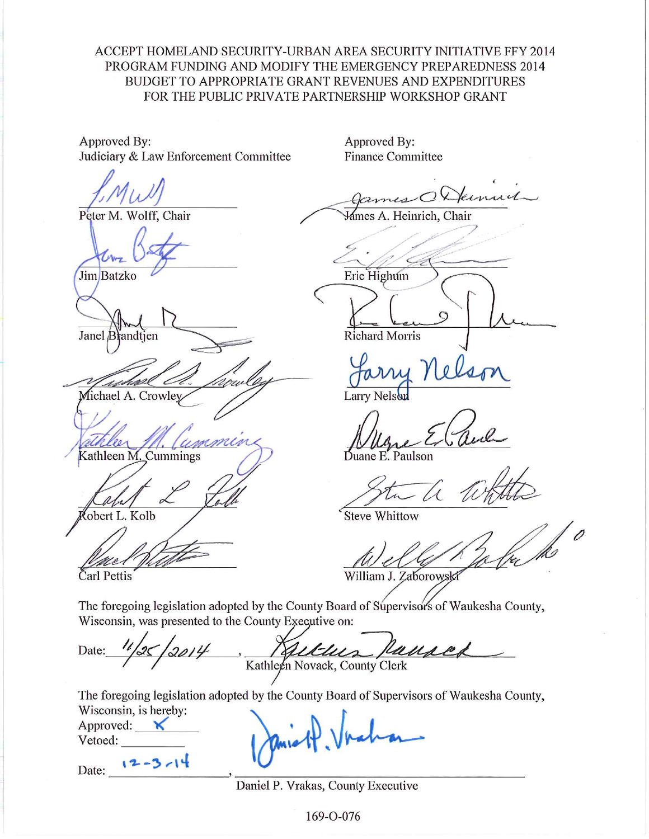# ACCEPT HOMELAND SECURITY-URBAN AREA SECURITY INITIATIVE FFY 2014 PROGRAM FUNDING AND MODIFY THE EMERGENCY PREPAREDNESS 2014 **BUDGET TO APPROPRIATE GRANT REVENUES AND EXPENDITURES** FOR THE PUBLIC PRIVATE PARTNERSHIP WORKSHOP GRANT

Approved By: Judiciary & Law Enforcement Committee

Peter M. Wolff, Chair

Jim Batzko

Janel Brandtjen

Michael A. Crowley

Kathleen M. Cummings

obert L. Kolb

Čarl Pettis

Approved By: **Finance Committee** 

Mames A. Heinrich, Chair

Eric Highum

**Richard Morris** 

Larry Nelson

Duane E. Paulson

**Steve Whittow** 

William J. Zaborowski

The foregoing legislation adopted by the County Board of Supervisors of Waukesha County, Wisconsin, was presented to the County Executive on:

Date: WULLA Kathleen Novack, County Clerk

The foregoing legislation adopted by the County Board of Supervisors of Waukesha County, Wisconsin, is hereby:

Approved:  $\mathsf{K}$ Vetoed:

 $12 - 3 - 14$ Date:

Daniel P. Vrakas, County Executive